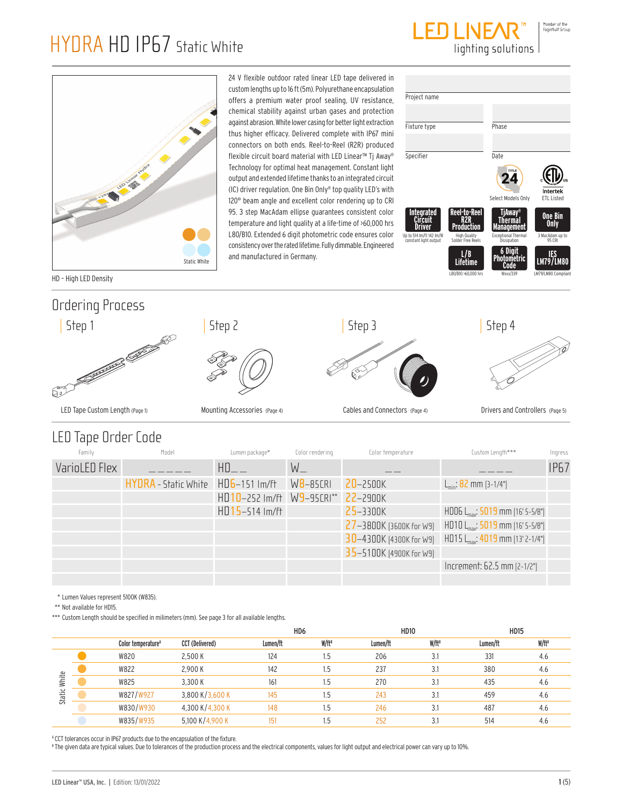



24 V flexible outdoor rated linear LED tape delivered in custom lengths up to 16 ft (5m). Polyurethane encapsulation offers a premium water proof sealing, UV resistance, chemical stability against urban gases and protection against abrasion. White lower casing for better light extraction thus higher efficacy. Delivered complete with IP67 mini connectors on both ends. Reel-to-Reel (R2R) produced flexible circuit board material with LED Linear™ Tj Away® Technology for optimal heat management. Constant light output and extended lifetime thanks to an integrated circuit (IC) driver regulation. One Bin Only® top quality LED's with 120° beam angle and excellent color rendering up to CRI 95. 3 step MacAdam ellipse guarantees consistent color temperature and light quality at a life-time of >60,000 hrs L80/B10. Extended 6 digit photometric code ensures color consistency over the rated lifetime. Fully dimmable. Engineered and manufactured in Germany.



HD – High LED Density

## Ordering Process



### LED Tape Order Code

| Family        | Model                              | Lumen package*            | Color rendering | Color temperature       | Custom Length***                             | Ingress     |
|---------------|------------------------------------|---------------------------|-----------------|-------------------------|----------------------------------------------|-------------|
| VarioLED Flex |                                    | HD                        | $W_{-}$         |                         |                                              | <b>IP67</b> |
|               | HYDRA - Static White HD6-151 Im/ft |                           | $W8 - 85CRI$    | 20-2500K                | $L_{\text{min}}$ : 82 mm (3-1/4")            |             |
|               |                                    | HD10-252 Im/ft W9-95CRI** |                 | $22 - 2900K$            |                                              |             |
|               |                                    | $HD15 - 514$ Im/ft        |                 | 25-3300K                | HD06 $L_{max}$ : 5019 mm (16' 5-5/8")        |             |
|               |                                    |                           |                 | 27-3800K (3600K for W9) | HD10 $L_{\text{max}}$ : 5019 mm (16' 5-5/8") |             |
|               |                                    |                           |                 | 30-4300K (4300K for W9) | HD15 L <sub>max</sub> : 4019 mm [13' 2-1/4"] |             |
|               |                                    |                           |                 | 35-5100K [4900K for W9] |                                              |             |
|               |                                    |                           |                 |                         | Increment: 62.5 mm (2-1/2")                  |             |
|               |                                    |                           |                 |                         |                                              |             |

\* Lumen Values represent 5100K (W835).

\*\* Not available for HD15.

\*\*\* Custom Length should be specified in milimeters (mm). See page 3 for all available lengths.

|        |                                |                 | HD6      |                   | <b>HD10</b> |                   | <b>HD15</b> |                   |
|--------|--------------------------------|-----------------|----------|-------------------|-------------|-------------------|-------------|-------------------|
|        | Color temperature <sup>A</sup> | CCT (Delivered) | Lumen/ft | W/ft <sup>B</sup> | Lumen/ft    | W/ft <sup>B</sup> | Lumen/ft    | W/ft <sup>B</sup> |
|        | W820                           | 2,500 K         | 124      | 1.5               | 206         | 3.1               | 331         | 4.6               |
|        | W822                           | 2,900 K         | 142      | 1.5               | 237         | 3.1               | 380         | 4.6               |
| White  | W825                           | 3.300 K         | 161      | 1.5               | 270         | 3.1               | 435         | 4.6               |
| Static | W827/W927                      | 3,800 K/3,600 K | 145      | 1.5               | 243         | 3.1               | 459         | 4.6               |
|        | W830/W930                      | 4,300 K/4,300 K | 148      | 1.5               | 246         | 3.1               | 487         | 4.6               |
|        | W835/W935                      | 5,100 K/4,900 K | 151      | 1.5               | 252         | 3.1               | 514         | 4.6               |

<sup>A</sup> CCT tolerances occur in IP67 products due to the encapsulation of the fixture.

 $^{\text{\tiny{\textup{B}}} }$  The given data are typical values. Due to tolerances of the production process and the electrical components, values for light output and electrical power can vary up to 10%.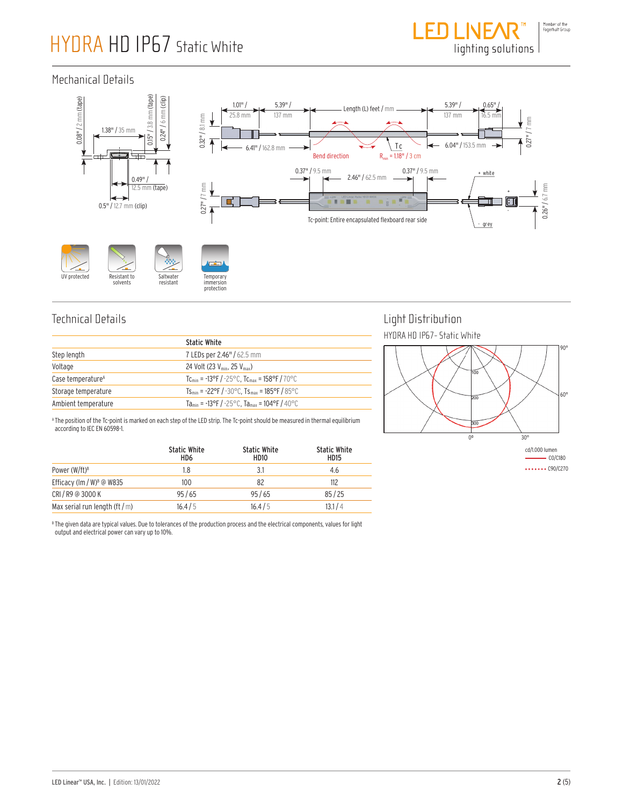

#### Mechanical Details



### Technical Details

|                               | <b>Static White</b>                                                                              |
|-------------------------------|--------------------------------------------------------------------------------------------------|
| Step length                   | 7 LEDs per 2.46" / 62.5 mm                                                                       |
| Voltage                       | 24 Volt (23 V <sub>min</sub> , 25 V <sub>max</sub> )                                             |
| Case temperature <sup>A</sup> | T <sub>Cmin</sub> = -13°F / -25°C. T <sub>Cmax</sub> = 158°F / 70°C                              |
| Storage temperature           | $Ts_{\text{min}} = -22^{\circ}F / -30^{\circ}C$ . $Ts_{\text{max}} = 185^{\circ}F / 85^{\circ}C$ |
| Ambient temperature           | Ta <sub>min</sub> = -13°F / -25°C, Ta <sub>max</sub> = 104°F / 40°C                              |

A The position of the Tc-point is marked on each step of the LED strip. The Tc-point should be measured in thermal equilibrium according to IEC EN 60598-1.

|                                       | <b>Static White</b><br>HD6 | <b>Static White</b><br>HD <sub>10</sub> | <b>Static White</b><br><b>HD15</b> |
|---------------------------------------|----------------------------|-----------------------------------------|------------------------------------|
| Power (W/ft) <sup>B</sup>             | 1.8                        | 3.1                                     | 4.6                                |
| Efficacy (lm / W) <sup>B</sup> @ W835 | 100                        | 82                                      | 112                                |
| CRI/R9 @ 3000 K                       | 95/65                      | 95/65                                   | 85/25                              |
| Max serial run length (ft $/m$ )      | 16.4/5                     | 16.4/5                                  | 13.1 / 4                           |

#### Light Distribution HYDRA HD IP67- Static White



 $\cdots$   $\cdots$  C90/C270

 $^{\rm B}$  The given data are typical values. Due to tolerances of the production process and the electrical components, values for light output and electrical power can vary up to 10%.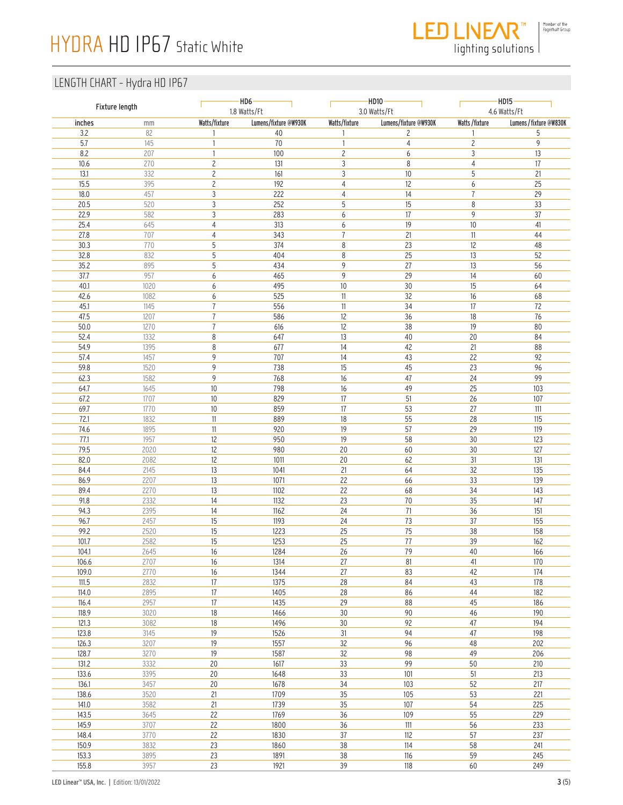

lighting solutions

| Fixture length |              |                                  | HD10<br>$-HD6-$<br>1.8 Watts/Ft<br>3.0 Watts/Ft |                     |                       | H <sub>D15</sub><br>4.6 Watts/Ft |                         |
|----------------|--------------|----------------------------------|-------------------------------------------------|---------------------|-----------------------|----------------------------------|-------------------------|
| inches         | mm           | Watts/fixture                    | Lumens/fixture @W930K                           | Watts/fixture       | Lumens/fixture @W930K | Watts/fixture                    | Lumens / fixture @W830K |
| 3.2<br>5.7     | 82<br>145    | 1                                | 40<br>70                                        | 1<br>$\mathbf{1}$   | 2<br>$\sqrt{4}$       | 1<br>$\overline{c}$              | 5<br>9                  |
| $8.2\,$        | 207          | 1                                | 100                                             | $\overline{c}$      | 6                     | 3                                | $13\,$                  |
| $10.6$         | 270          | $\overline{c}$                   | 131                                             | $\sqrt{3}$          | 8                     | $\overline{4}$                   | $17\,$                  |
| 13.1           | 332          | $\overline{c}$                   | 161                                             | 3                   | 10                    | 5                                | 21                      |
| 15.5           | 395          | $\overline{c}$                   | 192                                             | 4                   | 12                    | 6                                | 25                      |
| $18.0\,$       | 457          | 3                                | 222                                             | $\overline{4}$      | 14                    | $\overline{7}$                   | 29                      |
| 20.5           | 520          | 3                                | 252                                             | 5                   | 15                    | 8                                | 33                      |
| 22.9           | 582          | 3                                | 283                                             | 6                   | 17                    | 9                                | 37                      |
| 25.4<br>27.8   | 645<br>707   | $\overline{4}$<br>$\overline{4}$ | 313<br>343                                      | 6<br>$\overline{1}$ | 19<br>21              | $10$<br>$11\,$                   | $41$<br>44              |
| 30.3           | 770          | 5                                | 374                                             | 8                   | 23                    | 12                               | 48                      |
| 32.8           | 832          | 5                                | 404                                             | 8                   | 25                    | 13                               | 52                      |
| 35.2           | 895          | 5                                | 434                                             | 9                   | 27                    | 13                               | 56                      |
| 37.7           | 957          | 6                                | 465                                             | 9                   | 29                    | 14                               | 60                      |
| 40.1           | 1020         | 6                                | 495                                             | 10                  | $30\,$                | 15                               | 64                      |
| 42.6           | 1082         | 6                                | 525                                             | 11                  | 32                    | 16                               | 68                      |
| 45.1           | 1145         | $\overline{1}$                   | 556                                             | 11                  | 34                    | 17                               | 72                      |
| 47.5           | 1207         | $\overline{1}$                   | 586                                             | 12                  | 36                    | 18<br>19                         | 76                      |
| $50.0$<br>52.4 | 1270<br>1332 | $\overline{1}$<br>8              | 616<br>647                                      | 12<br>13            | 38<br>$40\,$          | 20                               | 80<br>84                |
| 54.9           | 1395         | 8                                | 677                                             | 14                  | 42                    | 21                               | 88                      |
| 57.4           | 1457         | 9                                | 707                                             | 14                  | 43                    | 22                               | 92                      |
| 59.8           | 1520         | 9                                | 738                                             | 15                  | 45                    | 23                               | 96                      |
| 62.3           | 1582         | 9                                | 768                                             | 16                  | 47                    | 24                               | 99                      |
| 64.7           | 1645         | $10$                             | 798                                             | 16                  | 49                    | 25                               | 103                     |
| 67.2           | 1707         | $10$                             | 829                                             | 17                  | 51                    | 26                               | 107                     |
| 69.7           | 1770         | $10$                             | 859                                             | $17\,$              | 53                    | 27                               | 111                     |
| 72.1           | 1832         | $11\,$                           | 889                                             | 18                  | 55                    | 28                               | 115                     |
| 74.6<br>77.1   | 1895<br>1957 | $11\,$<br>12                     | 920<br>950                                      | 19<br>19            | 57<br>58              | 29<br>30                         | 119<br>123              |
| 79.5           | 2020         | 12                               | 980                                             | 20                  | 60                    | 30                               | 127                     |
| 82.0           | 2082         | 12                               | 1011                                            | 20                  | 62                    | 31                               | 131                     |
| 84.4           | 2145         | 13                               | 1041                                            | 21                  | 64                    | 32                               | 135                     |
| 86.9           | 2207         | 13                               | 1071                                            | 22                  | 66                    | 33                               | 139                     |
| 89.4           | 2270         | 13                               | 1102                                            | 22                  | 68                    | 34                               | 143                     |
| 91.8           | 2332         | 14                               | 1132                                            | 23                  | 70                    | 35                               | 147                     |
| 94.3           | 2395         | 14                               | 1162                                            | 24                  | 71                    | 36                               | 151                     |
| 96.7<br>99.2   | 2457<br>2520 | 15<br>15                         | 1193<br>1223                                    | 24<br>25            | 73<br>75              | 37<br>38                         | 155<br>158              |
| 101.7          | 2582         | 15                               | 1253                                            | 25                  | 77                    | 39                               | 162                     |
| 104.1          | 2645         | 16                               | 1284                                            | 26                  | 79                    | $40\,$                           | 166                     |
| 106.6          | 2707         | 16                               | 1314                                            | 27                  | 81                    | 41                               | 170                     |
| 109.0          | 2770         | 16                               | 1344                                            | $27\,$              | 83                    | 42                               | 174                     |
| 111.5          | 2832         | 17                               | 1375                                            | 28                  | 84                    | 43                               | 178                     |
| 114.0          | 2895         | 17                               | 1405                                            | 28                  | 86                    | 44                               | 182                     |
| 116.4          | 2957         | 17                               | 1435                                            | 29                  | 88                    | 45                               | 186                     |
| 118.9          | 3020         | 18                               | 1466                                            | 30                  | 90                    | 46                               | 190                     |
| 121.3          | 3082         | 18                               | 1496                                            | $30\,$              | 92<br>94              | 47<br>47                         | 194                     |
| 123.8<br>126.3 | 3145<br>3207 | 19<br>19                         | 1526<br>1557                                    | 31<br>32            | 96                    | 48                               | 198<br>202              |
| 128.7          | 3270         | 19                               | 1587                                            | 32                  | 98                    | 49                               | 206                     |
| 131.2          | 3332         | $20\,$                           | 1617                                            | 33                  | 99                    | 50                               | 210                     |
| 133.6          | 3395         | $20\,$                           | 1648                                            | 33                  | 101                   | 51                               | 213                     |
| 136.1          | 3457         | $20\,$                           | 1678                                            | 34                  | 103                   | 52                               | 217                     |
| 138.6          | 3520         | 21                               | 1709                                            | $35\,$              | 105                   | 53                               | 221                     |
| 141.0          | 3582         | 21                               | 1739                                            | 35                  | 107                   | 54                               | 225                     |
| 143.5          | 3645         | 22                               | 1769                                            | 36                  | 109                   | 55                               | 229                     |
| 145.9          | 3707         | 22<br>22                         | 1800                                            | 36                  | $111$<br>112          | 56<br>57                         | 233                     |
| 148.4<br>150.9 | 3770<br>3832 | 23                               | 1830<br>1860                                    | 37<br>$38\,$        | 114                   | 58                               | 237<br>241              |
| 153.3          | 3895         | 23                               | 1891                                            | 38                  | 116                   | 59                               | 245                     |
| 155.8          | 3957         | 23                               | 1921                                            | 39                  | 118                   | 60                               | 249                     |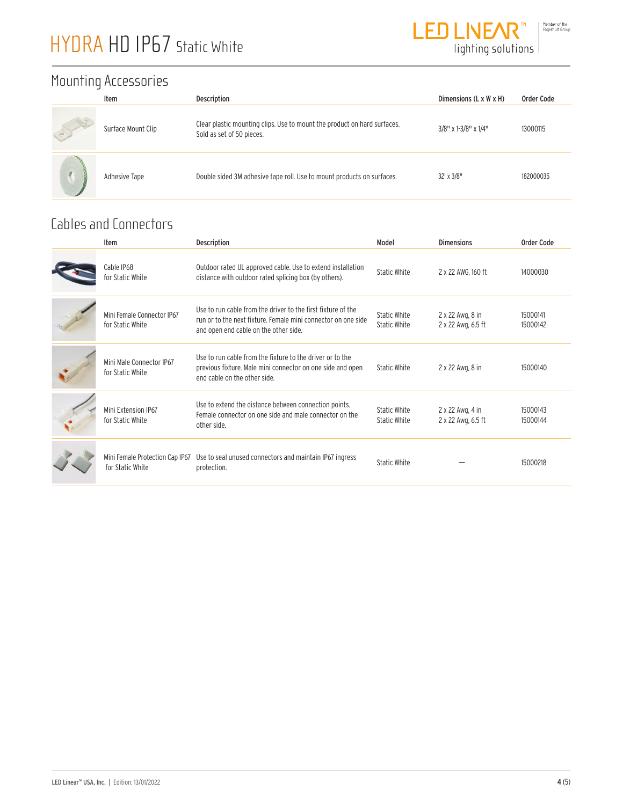

### Mounting Accessories

|    | Item               | Description                                                                                           | Dimensions (L x W x H) | Order Code |
|----|--------------------|-------------------------------------------------------------------------------------------------------|------------------------|------------|
| ay | Surface Mount Clip | Clear plastic mounting clips. Use to mount the product on hard surfaces.<br>Sold as set of 50 pieces. | 3/8" x 1-3/8" x 1/4"   | 13000115   |
|    | Adhesive Tape      | Double sided 3M adhesive tape roll. Use to mount products on surfaces.                                | $32' \times 3/8''$     | 182000035  |

### Cables and Connectors

| Item                                                | <b>Description</b>                                                                                                                                                     | Model                        | <b>Dimensions</b>                      | Order Code           |
|-----------------------------------------------------|------------------------------------------------------------------------------------------------------------------------------------------------------------------------|------------------------------|----------------------------------------|----------------------|
| Cable IP68<br>for Static White                      | Outdoor rated UL approved cable. Use to extend installation<br>distance with outdoor rated splicing box (by others).                                                   | Static White                 | 2 x 22 AWG, 160 ft                     | 14000030             |
| Mini Female Connector IP67<br>for Static White      | Use to run cable from the driver to the first fixture of the<br>run or to the next fixture. Female mini connector on one side<br>and open end cable on the other side. | Static White<br>Static White | 2 x 22 Awg, 8 in<br>2 x 22 Awg, 6.5 ft | 15000141<br>15000142 |
| Mini Male Connector IP67<br>for Static White        | Use to run cable from the fixture to the driver or to the<br>previous fixture. Male mini connector on one side and open<br>end cable on the other side                 | Static White                 | 2 x 22 Awg, 8 in                       | 15000140             |
| Mini Extension IP67<br>for Static White             | Use to extend the distance between connection points.<br>Female connector on one side and male connector on the<br>other side.                                         | Static White<br>Static White | 2 x 22 Awg, 4 in<br>2 x 22 Awg, 6.5 ft | 15000143<br>15000144 |
| Mini Female Protection Cap IP67<br>for Static White | Use to seal unused connectors and maintain IP67 ingress<br>protection.                                                                                                 | <b>Static White</b>          |                                        | 15000218             |